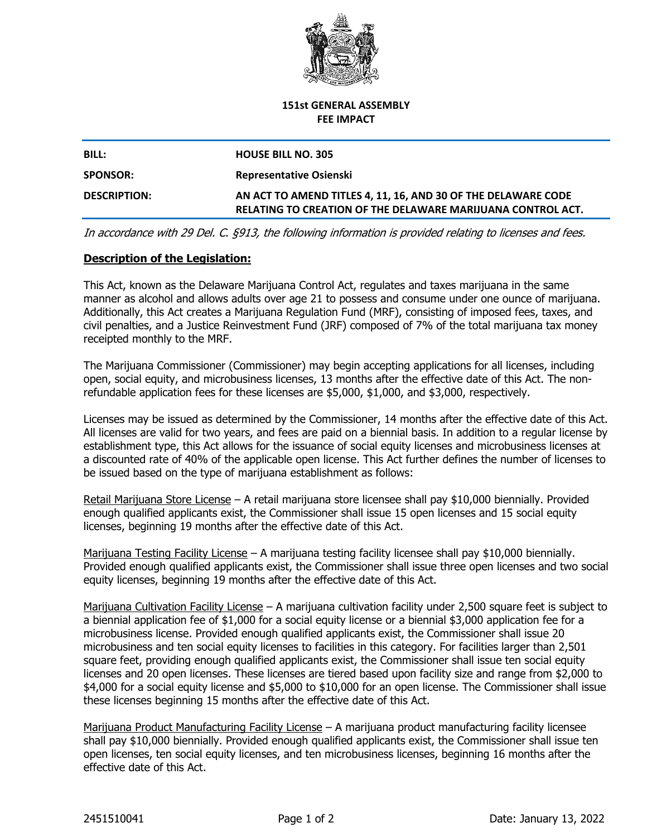

#### **151st GENERAL ASSEMBLY FEE IMPACT**

# **BILL: HOUSE BILL NO. 305 SPONSOR: Representative Osienski DESCRIPTION: AN ACT TO AMEND TITLES 4, 11, 16, AND 30 OF THE DELAWARE CODE RELATING TO CREATION OF THE DELAWARE MARIJUANA CONTROL ACT.**

*In accordance with 29 Del. C. §913, the following information is provided relating to licenses and fees.*

### **Description of the Legislation:**

This Act, known as the Delaware Marijuana Control Act, regulates and taxes marijuana in the same manner as alcohol and allows adults over age 21 to possess and consume under one ounce of marijuana. Additionally, this Act creates a Marijuana Regulation Fund (MRF), consisting of imposed fees, taxes, and civil penalties, and a Justice Reinvestment Fund (JRF) composed of 7% of the total marijuana tax money receipted monthly to the MRF.

The Marijuana Commissioner (Commissioner) may begin accepting applications for all licenses, including open, social equity, and microbusiness licenses, 13 months after the effective date of this Act. The nonrefundable application fees for these licenses are \$5,000, \$1,000, and \$3,000, respectively.

Licenses may be issued as determined by the Commissioner, 14 months after the effective date of this Act. All licenses are valid for two years, and fees are paid on a biennial basis. In addition to a regular license by establishment type, this Act allows for the issuance of social equity licenses and microbusiness licenses at a discounted rate of 40% of the applicable open license. This Act further defines the number of licenses to be issued based on the type of marijuana establishment as follows:

Retail Marijuana Store License – A retail marijuana store licensee shall pay \$10,000 biennially. Provided enough qualified applicants exist, the Commissioner shall issue 15 open licenses and 15 social equity licenses, beginning 19 months after the effective date of this Act.

Marijuana Testing Facility License – A marijuana testing facility licensee shall pay \$10,000 biennially. Provided enough qualified applicants exist, the Commissioner shall issue three open licenses and two social equity licenses, beginning 19 months after the effective date of this Act.

Marijuana Cultivation Facility License – A marijuana cultivation facility under 2,500 square feet is subject to a biennial application fee of \$1,000 for a social equity license or a biennial \$3,000 application fee for a microbusiness license. Provided enough qualified applicants exist, the Commissioner shall issue 20 microbusiness and ten social equity licenses to facilities in this category. For facilities larger than 2,501 square feet, providing enough qualified applicants exist, the Commissioner shall issue ten social equity licenses and 20 open licenses. These licenses are tiered based upon facility size and range from \$2,000 to \$4,000 for a social equity license and \$5,000 to \$10,000 for an open license. The Commissioner shall issue these licenses beginning 15 months after the effective date of this Act.

Marijuana Product Manufacturing Facility License – A marijuana product manufacturing facility licensee shall pay \$10,000 biennially. Provided enough qualified applicants exist, the Commissioner shall issue ten open licenses, ten social equity licenses, and ten microbusiness licenses, beginning 16 months after the effective date of this Act.